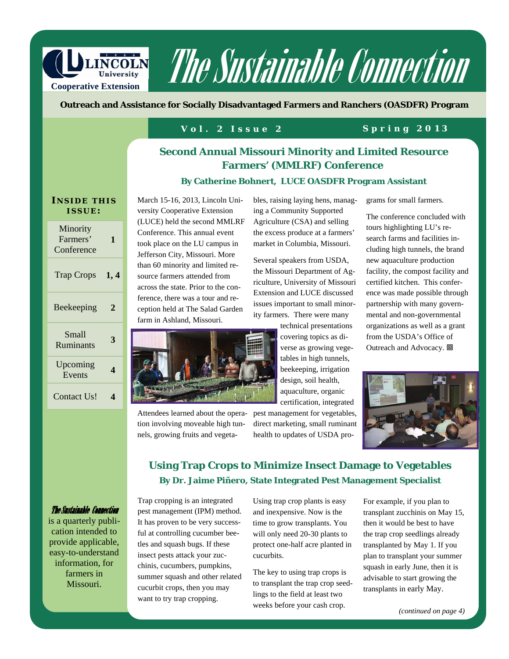

# The Sustainable Connection

**Outreach and Assistance for Socially Disadvantaged Farmers and Ranchers (OASDFR) Program** 

#### **Vol. 2 Issue 2 Spring 2013**

#### **Second Annual Missouri Minority and Limited Resource Farmers' (MMLRF) Conference**

#### **By Catherine Bohnert, LUCE OASDFR Program Assistant**

#### **I NSIDE THIS ISSUE :**

| Minority<br>Farmers'<br>Conference | 1    |
|------------------------------------|------|
| <b>Trap Crops</b>                  | 1, 4 |
| Beekeeping                         | 2    |
| Small<br>Ruminants                 | 3    |
| Upcoming<br>Events                 | 4    |
| Contact Us!                        |      |

March 15-16, 2013, Lincoln University Cooperative Extension (LUCE) held the second MMLRF Conference. This annual event took place on the LU campus in Jefferson City, Missouri. More than 60 minority and limited resource farmers attended from across the state. Prior to the conference, there was a tour and reception held at The Salad Garden farm in Ashland, Missouri.



Attendees learned about the operation involving moveable high tunnels, growing fruits and vegeta-

bles, raising laying hens, managing a Community Supported Agriculture (CSA) and selling the excess produce at a farmers' market in Columbia, Missouri.

Several speakers from USDA, the Missouri Department of Agriculture, University of Missouri Extension and LUCE discussed issues important to small minority farmers. There were many

> technical presentations covering topics as diverse as growing vegetables in high tunnels, beekeeping, irrigation design, soil health, aquaculture, organic certification, integrated

pest management for vegetables, direct marketing, small ruminant health to updates of USDA programs for small farmers.

The conference concluded with tours highlighting LU's research farms and facilities including high tunnels, the brand new aquaculture production facility, the compost facility and certified kitchen. This conference was made possible through partnership with many governmental and non-governmental organizations as well as a grant from the USDA's Office of Outreach and Advocacy. **回** 



#### **Using Trap Crops to Minimize Insect Damage to Vegetables By Dr. Jaime Piñero, State Integrated Pest Management Specialist**

#### The Sustainable Connection

is a quarterly publication intended to provide applicable, easy-to-understand information, for farmers in Missouri.

Trap cropping is an integrated pest management (IPM) method. It has proven to be very successful at controlling cucumber beetles and squash bugs. If these insect pests attack your zucchinis, cucumbers, pumpkins, summer squash and other related cucurbit crops, then you may want to try trap cropping.

Using trap crop plants is easy and inexpensive. Now is the time to grow transplants. You will only need 20-30 plants to protect one-half acre planted in cucurbits.

The key to using trap crops is to transplant the trap crop seedlings to the field at least two weeks before your cash crop.

For example, if you plan to transplant zucchinis on May 15, then it would be best to have the trap crop seedlings already transplanted by May 1. If you plan to transplant your summer squash in early June, then it is advisable to start growing the transplants in early May.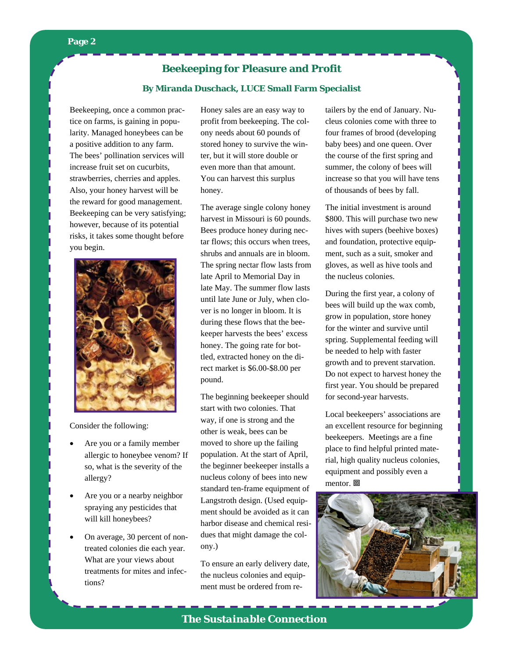#### **Page 2**

#### **Beekeeping for Pleasure and Profit**

#### **By Miranda Duschack, LUCE Small Farm Specialist**

Beekeeping, once a common practice on farms, is gaining in popularity. Managed honeybees can be a positive addition to any farm. The bees' pollination services will increase fruit set on cucurbits, strawberries, cherries and apples. Also, your honey harvest will be the reward for good management. Beekeeping can be very satisfying; however, because of its potential risks, it takes some thought before you begin.



Consider the following:

- Are you or a family member allergic to honeybee venom? If so, what is the severity of the allergy?
- Are you or a nearby neighbor spraying any pesticides that will kill honeybees?
- On average, 30 percent of nontreated colonies die each year. What are your views about treatments for mites and infections?

Honey sales are an easy way to profit from beekeeping. The colony needs about 60 pounds of stored honey to survive the winter, but it will store double or even more than that amount. You can harvest this surplus honey.

The average single colony honey harvest in Missouri is 60 pounds. Bees produce honey during nectar flows; this occurs when trees, shrubs and annuals are in bloom. The spring nectar flow lasts from late April to Memorial Day in late May. The summer flow lasts until late June or July, when clover is no longer in bloom. It is during these flows that the beekeeper harvests the bees' excess honey. The going rate for bottled, extracted honey on the direct market is \$6.00-\$8.00 per pound.

The beginning beekeeper should start with two colonies. That way, if one is strong and the other is weak, bees can be moved to shore up the failing population. At the start of April, the beginner beekeeper installs a nucleus colony of bees into new standard ten-frame equipment of Langstroth design. (Used equipment should be avoided as it can harbor disease and chemical residues that might damage the colony.)

To ensure an early delivery date, the nucleus colonies and equipment must be ordered from retailers by the end of January. Nucleus colonies come with three to four frames of brood (developing baby bees) and one queen. Over the course of the first spring and summer, the colony of bees will increase so that you will have tens of thousands of bees by fall.

The initial investment is around \$800. This will purchase two new hives with supers (beehive boxes) and foundation, protective equipment, such as a suit, smoker and gloves, as well as hive tools and the nucleus colonies.

During the first year, a colony of bees will build up the wax comb, grow in population, store honey for the winter and survive until spring. Supplemental feeding will be needed to help with faster growth and to prevent starvation. Do not expect to harvest honey the first year. You should be prepared for second-year harvests.

Local beekeepers' associations are an excellent resource for beginning beekeepers. Meetings are a fine place to find helpful printed material, high quality nucleus colonies, equipment and possibly even a mentor. 回



*The Sustainable Connection*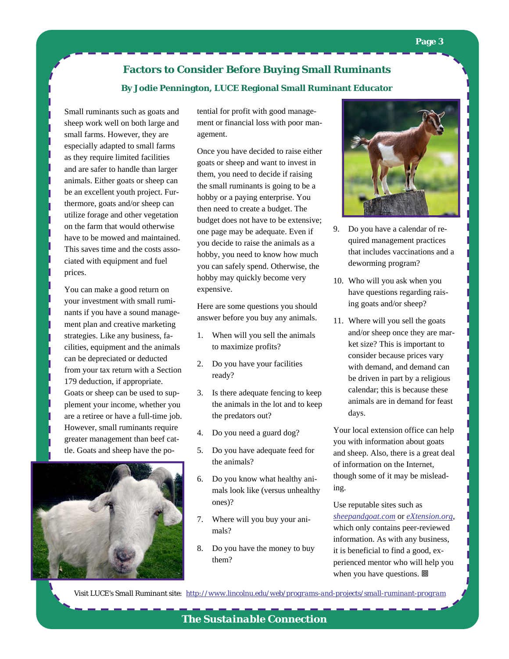### **Factors to Consider Before Buying Small Ruminants By Jodie Pennington, LUCE Regional Small Ruminant Educator**

Small ruminants such as goats and sheep work well on both large and small farms. However, they are especially adapted to small farms as they require limited facilities and are safer to handle than larger animals. Either goats or sheep can be an excellent youth project. Furthermore, goats and/or sheep can utilize forage and other vegetation on the farm that would otherwise have to be mowed and maintained. This saves time and the costs associated with equipment and fuel prices.

You can make a good return on your investment with small ruminants if you have a sound management plan and creative marketing strategies. Like any business, facilities, equipment and the animals can be depreciated or deducted from your tax return with a Section 179 deduction, if appropriate. Goats or sheep can be used to supplement your income, whether you are a retiree or have a full-time job. However, small ruminants require greater management than beef cattle. Goats and sheep have the po-



tential for profit with good management or financial loss with poor management.

Once you have decided to raise either goats or sheep and want to invest in them, you need to decide if raising the small ruminants is going to be a hobby or a paying enterprise. You then need to create a budget. The budget does not have to be extensive; one page may be adequate. Even if you decide to raise the animals as a hobby, you need to know how much you can safely spend. Otherwise, the hobby may quickly become very expensive.

Here are some questions you should answer before you buy any animals.

- 1. When will you sell the animals to maximize profits?
- 2. Do you have your facilities ready?
- 3. Is there adequate fencing to keep the animals in the lot and to keep the predators out?
- 4. Do you need a guard dog?
- 5. Do you have adequate feed for the animals?
- 6. Do you know what healthy animals look like (versus unhealthy ones)?
- 7. Where will you buy your animals?
- 8. Do you have the money to buy them?



- 9. Do you have a calendar of required management practices that includes vaccinations and a deworming program?
- 10. Who will you ask when you have questions regarding raising goats and/or sheep?
- 11. Where will you sell the goats and/or sheep once they are market size? This is important to consider because prices vary with demand, and demand can be driven in part by a religious calendar; this is because these animals are in demand for feast days.

Your local extension office can help you with information about goats and sheep. Also, there is a great deal of information on the Internet, though some of it may be misleading.

Use reputable sites such as *sheepandgoat.com* or *eXtension.org*, which only contains peer-reviewed information. As with any business, it is beneficial to find a good, experienced mentor who will help you when you have questions. **回** 

*Visit LUCE's Small Ruminant site: http://www.lincolnu.edu/web/programs-and-projects/small-ruminant-program*

*The Sustainable Connection*